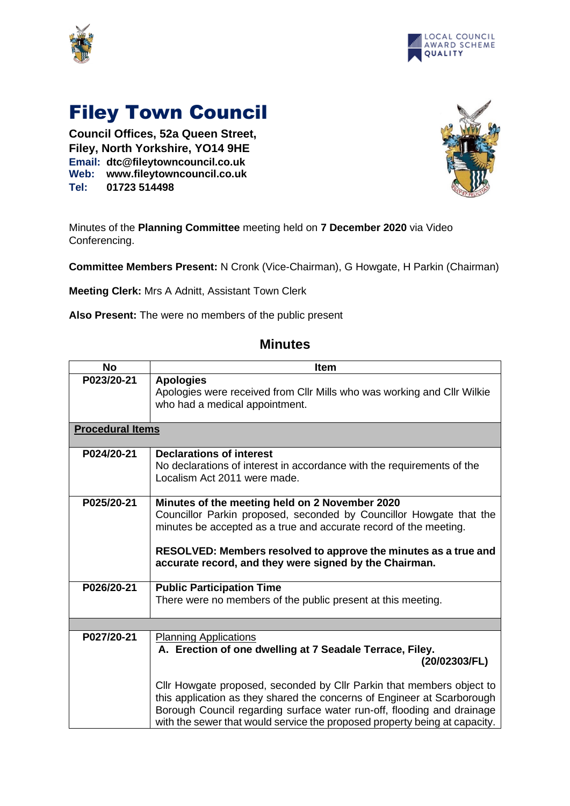



## Filey Town Council

**Council Offices, 52a Queen Street, Filey, North Yorkshire, YO14 9HE Email: dtc@fileytowncouncil.co.uk Web: www.fileytowncouncil.co.uk Tel: 01723 514498**



Minutes of the **Planning Committee** meeting held on **7 December 2020** via Video Conferencing.

**Committee Members Present:** N Cronk (Vice-Chairman), G Howgate, H Parkin (Chairman)

**Meeting Clerk:** Mrs A Adnitt, Assistant Town Clerk

**Also Present:** The were no members of the public present

| <b>No</b>               | <b>Item</b>                                                                                                                                                                                                                                                                                                             |  |
|-------------------------|-------------------------------------------------------------------------------------------------------------------------------------------------------------------------------------------------------------------------------------------------------------------------------------------------------------------------|--|
| P023/20-21              | <b>Apologies</b><br>Apologies were received from Cllr Mills who was working and Cllr Wilkie<br>who had a medical appointment.                                                                                                                                                                                           |  |
| <b>Procedural Items</b> |                                                                                                                                                                                                                                                                                                                         |  |
| P024/20-21              | <b>Declarations of interest</b><br>No declarations of interest in accordance with the requirements of the<br>Localism Act 2011 were made.                                                                                                                                                                               |  |
| P025/20-21              | Minutes of the meeting held on 2 November 2020<br>Councillor Parkin proposed, seconded by Councillor Howgate that the<br>minutes be accepted as a true and accurate record of the meeting.<br>RESOLVED: Members resolved to approve the minutes as a true and<br>accurate record, and they were signed by the Chairman. |  |
| P026/20-21              | <b>Public Participation Time</b><br>There were no members of the public present at this meeting.                                                                                                                                                                                                                        |  |
|                         |                                                                                                                                                                                                                                                                                                                         |  |
| P027/20-21              | <b>Planning Applications</b><br>A. Erection of one dwelling at 7 Seadale Terrace, Filey.<br>(20/02303/FL)<br>Cllr Howgate proposed, seconded by Cllr Parkin that members object to                                                                                                                                      |  |
|                         | this application as they shared the concerns of Engineer at Scarborough<br>Borough Council regarding surface water run-off, flooding and drainage<br>with the sewer that would service the proposed property being at capacity.                                                                                         |  |

## **Minutes**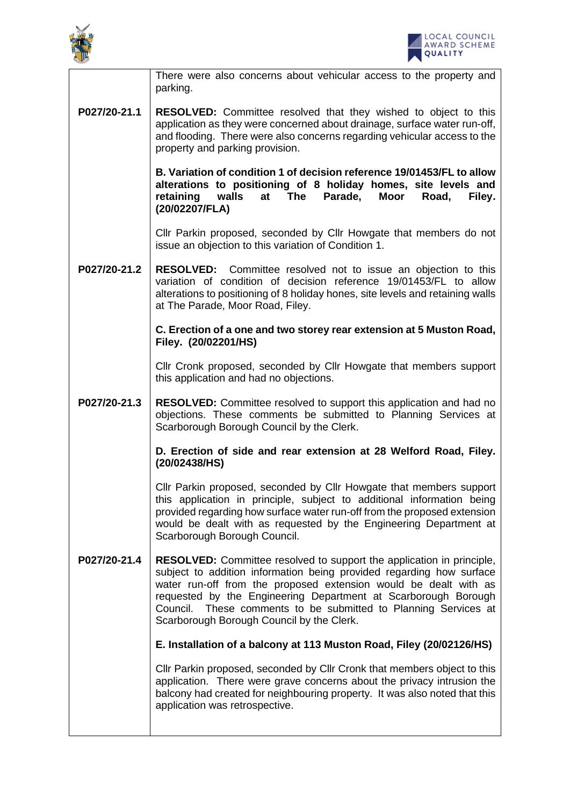



|              | There were also concerns about vehicular access to the property and<br>parking.                                                                                                                                                                                                                                                                                                                            |
|--------------|------------------------------------------------------------------------------------------------------------------------------------------------------------------------------------------------------------------------------------------------------------------------------------------------------------------------------------------------------------------------------------------------------------|
| P027/20-21.1 | <b>RESOLVED:</b> Committee resolved that they wished to object to this<br>application as they were concerned about drainage, surface water run-off,<br>and flooding. There were also concerns regarding vehicular access to the<br>property and parking provision.                                                                                                                                         |
|              | B. Variation of condition 1 of decision reference 19/01453/FL to allow<br>alterations to positioning of 8 holiday homes, site levels and<br>The<br>Parade,<br>retaining<br>walls<br>at<br>Moor<br>Road,<br>Filey.<br>(20/02207/FLA)                                                                                                                                                                        |
|              | Cllr Parkin proposed, seconded by Cllr Howgate that members do not<br>issue an objection to this variation of Condition 1.                                                                                                                                                                                                                                                                                 |
| P027/20-21.2 | <b>RESOLVED:</b> Committee resolved not to issue an objection to this<br>variation of condition of decision reference 19/01453/FL to allow<br>alterations to positioning of 8 holiday hones, site levels and retaining walls<br>at The Parade, Moor Road, Filey.                                                                                                                                           |
|              | C. Erection of a one and two storey rear extension at 5 Muston Road,<br>Filey. (20/02201/HS)                                                                                                                                                                                                                                                                                                               |
|              | Cllr Cronk proposed, seconded by Cllr Howgate that members support<br>this application and had no objections.                                                                                                                                                                                                                                                                                              |
| P027/20-21.3 | <b>RESOLVED:</b> Committee resolved to support this application and had no<br>objections. These comments be submitted to Planning Services at<br>Scarborough Borough Council by the Clerk.                                                                                                                                                                                                                 |
|              | D. Erection of side and rear extension at 28 Welford Road, Filey.<br>(20/02438/HS)                                                                                                                                                                                                                                                                                                                         |
|              | Cllr Parkin proposed, seconded by Cllr Howgate that members support<br>this application in principle, subject to additional information being<br>provided regarding how surface water run-off from the proposed extension<br>would be dealt with as requested by the Engineering Department at<br>Scarborough Borough Council.                                                                             |
| P027/20-21.4 | <b>RESOLVED:</b> Committee resolved to support the application in principle,<br>subject to addition information being provided regarding how surface<br>water run-off from the proposed extension would be dealt with as<br>requested by the Engineering Department at Scarborough Borough<br>Council. These comments to be submitted to Planning Services at<br>Scarborough Borough Council by the Clerk. |
|              | E. Installation of a balcony at 113 Muston Road, Filey (20/02126/HS)                                                                                                                                                                                                                                                                                                                                       |
|              | Cllr Parkin proposed, seconded by Cllr Cronk that members object to this<br>application. There were grave concerns about the privacy intrusion the<br>balcony had created for neighbouring property. It was also noted that this<br>application was retrospective.                                                                                                                                         |
|              |                                                                                                                                                                                                                                                                                                                                                                                                            |